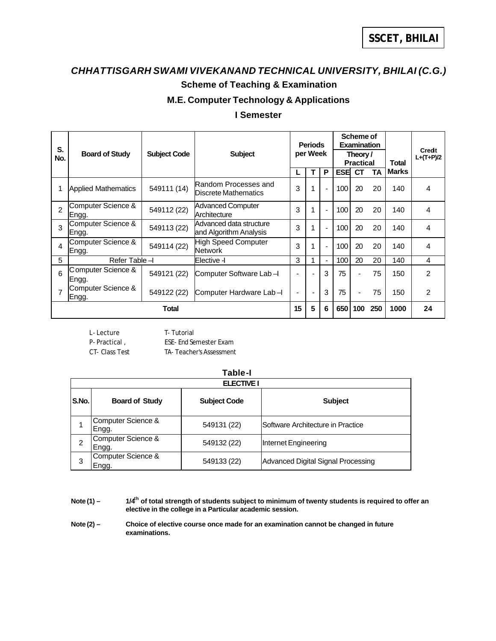# *CHHATTISGARH SWAMI VIVEKANAND TECHNICAL UNIVERSITY, BHILAI (C.G.)* **Scheme of Teaching & Examination**

### **M.E. Computer Technology & Applications**

### **I Semester**

| S.  |                             |                     |                                                   | Scheme of<br><b>Periods</b><br><b>Examination</b> |                          |                |                              |                |     |              |                       |
|-----|-----------------------------|---------------------|---------------------------------------------------|---------------------------------------------------|--------------------------|----------------|------------------------------|----------------|-----|--------------|-----------------------|
| No. | <b>Board of Study</b>       | <b>Subject Code</b> | <b>Subject</b>                                    |                                                   | per Week                 |                | Theory /<br><b>Practical</b> |                |     | <b>Total</b> | Credit<br>$L+(T+P)/2$ |
|     |                             |                     |                                                   |                                                   |                          | P              | <b>ESE</b>                   | <b>CT</b>      | ТA  | <b>Marks</b> |                       |
|     | <b>Applied Mathematics</b>  | 549111 (14)         | Random Processes and<br>Discrete Mathematics      | 3                                                 |                          | $\blacksquare$ | 100                          | 20             | 20  | 140          | 4                     |
| 2   | Computer Science &<br>Engg. | 549112 (22)         | <b>Advanced Computer</b><br>Architecture          | 3                                                 |                          | $\blacksquare$ | 100                          | 20             | 20  | 140          | 4                     |
| 3   | Computer Science &<br>Engg. | 549113 (22)         | Advanced data structure<br>and Algorithm Analysis | 3                                                 |                          | $\blacksquare$ | 100                          | 20             | 20  | 140          | 4                     |
| 4   | Computer Science &<br>Engg. | 549114 (22)         | High Speed Computer<br>Network                    | 3                                                 |                          | $\blacksquare$ | 100                          | 20             | 20  | 140          | 4                     |
| 5   | Refer Table -I              |                     | IElective -l                                      | 3                                                 |                          | $\blacksquare$ | 100                          | 20             | 20  | 140          | 4                     |
| 6   | Computer Science &<br>Engg. | 549121 (22)         | Computer Software Lab-I                           |                                                   |                          | 3              | 75                           | $\blacksquare$ | 75  | 150          | $\mathcal{P}$         |
|     | Computer Science &<br>Engg. | 549122 (22)         | Computer Hardware Lab-I                           | $\overline{\phantom{a}}$                          | $\overline{\phantom{a}}$ | 3              | 75                           | $\blacksquare$ | 75  | 150          | $\mathcal{P}$         |
|     | Total                       |                     |                                                   |                                                   | 5                        | 6              | 650                          | 100            | 250 | 1000         | 24                    |

L- Lecture T- Tutorial P- Practical , ESE- End Semester Exam CT- Class Test TA- Teacher's Assessment

## **Table-I**

|       | <b>ELECTIVE I</b>           |                     |                                    |  |  |  |  |  |  |  |
|-------|-----------------------------|---------------------|------------------------------------|--|--|--|--|--|--|--|
| S.No. | <b>Board of Study</b>       | <b>Subject Code</b> | <b>Subject</b>                     |  |  |  |  |  |  |  |
|       | Computer Science &<br>Engg. | 549131 (22)         | Software Architecture in Practice  |  |  |  |  |  |  |  |
| 2     | Computer Science &<br>Engg. | 549132 (22)         | Internet Engineering               |  |  |  |  |  |  |  |
| 3     | Computer Science &<br>Engg. | 549133 (22)         | Advanced Digital Signal Processing |  |  |  |  |  |  |  |

**Note (1) – 1/4th of total strength of students subject to minimum of twenty students is required to offer an elective in the college in a Particular academic session.**

Note (2) – Choice of elective course once made for an examination cannot be changed in future **examinations.**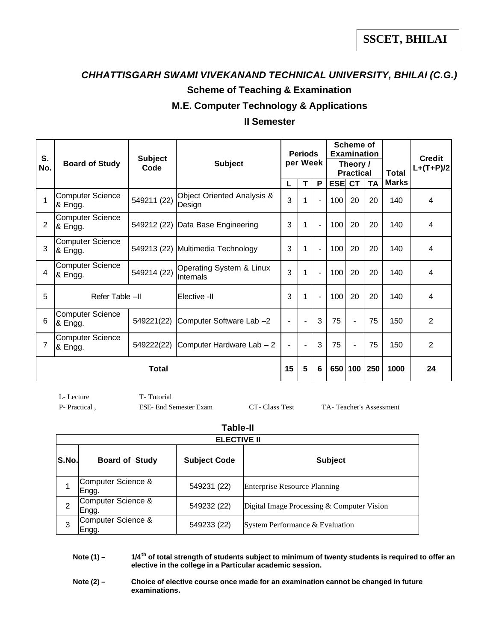# *CHHATTISGARH SWAMI VIVEKANAND TECHNICAL UNIVERSITY, BHILAI (C.G.)* **Scheme of Teaching & Examination**

### **M.E. Computer Technology & Applications**

### **II Semester**

| S.  |                                    | <b>Subject</b> |                                       |                          | <b>Periods</b> |                | Scheme of<br><b>Examination</b> |                |              |              | <b>Credit</b>  |
|-----|------------------------------------|----------------|---------------------------------------|--------------------------|----------------|----------------|---------------------------------|----------------|--------------|--------------|----------------|
| No. | <b>Board of Study</b>              | Code           | <b>Subject</b>                        | per Week                 |                |                | Theory /<br><b>Practical</b>    |                | <b>Total</b> | $L+(T+P)/2$  |                |
|     |                                    |                |                                       | L                        | T              | P              | <b>ESE CT</b>                   |                | <b>TA</b>    | <b>Marks</b> |                |
| 1   | <b>Computer Science</b><br>& Engg. | 549211 (22)    | Object Oriented Analysis &<br>Design  | 3                        | 1              |                | 100                             | 20             | 20           | 140          | 4              |
| 2   | <b>Computer Science</b><br>& Engg. | 549212 (22)    | Data Base Engineering                 | 3                        | 1              | $\blacksquare$ | 100                             | 20             | 20           | 140          | 4              |
| 3   | <b>Computer Science</b><br>& Engg. |                | 549213 (22) Multimedia Technology     | 3                        | 1              | $\blacksquare$ | 100                             | 20             | 20           | 140          | 4              |
| 4   | <b>Computer Science</b><br>& Engg. | 549214 (22)    | Operating System & Linux<br>Internals | 3                        | 1              | $\blacksquare$ | 100                             | 20             | 20           | 140          | 4              |
| 5   | Refer Table -II                    |                | lElective -II                         | 3                        | 1              | $\overline{a}$ | 100                             | 20             | 20           | 140          | 4              |
| 6   | <b>Computer Science</b><br>& Engg. | 549221(22)     | Computer Software Lab -2              | $\overline{\phantom{0}}$ | $\blacksquare$ | 3              | 75                              | $\blacksquare$ | 75           | 150          | $\overline{2}$ |
| 7   | <b>Computer Science</b><br>& Engg. | 549222(22)     | Computer Hardware Lab - 2             | $\blacksquare$           | $\blacksquare$ | 3              | 75                              | $\blacksquare$ | 75           | 150          | 2              |
|     | Total                              |                |                                       | 15                       | 5              | 6              | 650                             | 100            | 250          | 1000         | 24             |

L- Lecture T- Tutorial

P- Practical , ESE- End Semester Exam CT- Class Test TA- Teacher's Assessment

### **Table-II**

|       | <b>ELECTIVE II</b>          |                     |                                            |  |  |  |  |  |  |  |
|-------|-----------------------------|---------------------|--------------------------------------------|--|--|--|--|--|--|--|
| S.No. | <b>Board of Study</b>       | <b>Subject Code</b> | <b>Subject</b>                             |  |  |  |  |  |  |  |
|       | Computer Science &<br>Engg. | 549231 (22)         | <b>Enterprise Resource Planning</b>        |  |  |  |  |  |  |  |
| 2     | Computer Science &<br>Engg. | 549232 (22)         | Digital Image Processing & Computer Vision |  |  |  |  |  |  |  |
| 3     | Computer Science &<br>Engg. | 549233 (22)         | System Performance & Evaluation            |  |  |  |  |  |  |  |

**Note (1) – 1/4th of total strength of students subject to minimum of twenty students is required to offer an elective in the college in a Particular academic session.**

Note (2) - Choice of elective course once made for an examination cannot be changed in future **examinations.**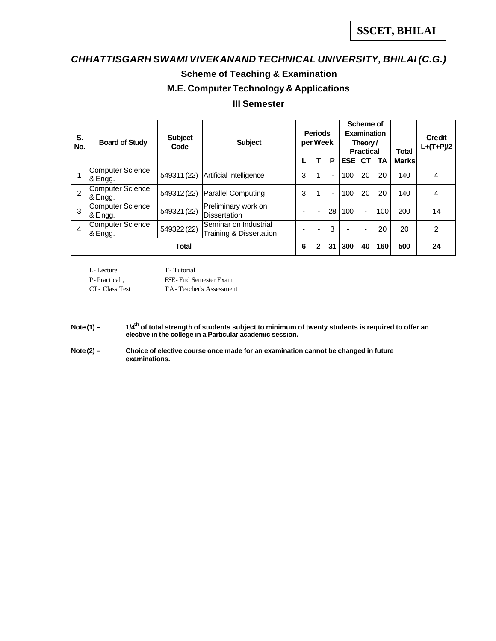# *CHHATTISGARH SWAMI VIVEKANAND TECHNICAL UNIVERSITY, BHILAI (C.G.)* **Scheme of Teaching & Examination M.E. Computer Technology & Applications**

### **III Semester**

| S.<br>No. | <b>Board of Study</b>                | <b>Subject</b><br>Code | <b>Subject</b>                                   |   | <b>Periods</b><br>per Week |    |            | Scheme of<br><b>Examination</b><br>Theory/<br><b>Practical</b> |           | <b>Total</b> | <b>Credit</b><br>$L+(T+P)/2$ |
|-----------|--------------------------------------|------------------------|--------------------------------------------------|---|----------------------------|----|------------|----------------------------------------------------------------|-----------|--------------|------------------------------|
|           |                                      |                        |                                                  |   |                            | P  | <b>ESE</b> | СT                                                             | <b>TA</b> | <b>Marks</b> |                              |
|           | <b>Computer Science</b><br>1& Engg.  | 549311 (22)            | Artificial Intelligence                          | 3 |                            |    | 100        | 20                                                             | 20        | 140          | 4                            |
| 2         | <b>Computer Science</b><br>1& Engg.  | 549312 (22)            | <b>Parallel Computing</b>                        | 3 |                            |    | 100        | 20                                                             | 20        | 140          | 4                            |
| 3         | <b>Computer Science</b><br>1& E ngg. | 549321 (22)            | Preliminary work on<br>Dissertation              |   |                            | 28 | 100        | $\blacksquare$                                                 | 100       | 200          | 14                           |
| 4         | <b>Computer Science</b><br>& Engg.   | 549322 (22)            | Seminar on Industrial<br>Training & Dissertation |   |                            | 3  |            |                                                                | 20        | 20           | 2                            |
|           |                                      | <b>Total</b>           |                                                  | 6 | $\mathbf{2}$               | 31 | 300        | 40                                                             | 160       | 500          | 24                           |

L- Lecture T- Tutorial

P- Practical , ESE- End Semester Exam

CT- Class Test TA- Teacher's Assessment

**Note (1) – 1/4th of total strength of students subject to minimum of twenty students is required to offer an elective in the college in a Particular academic session.**

**Note (2) – Choice of elective course once made for an examination cannot be changed in future examinations.**